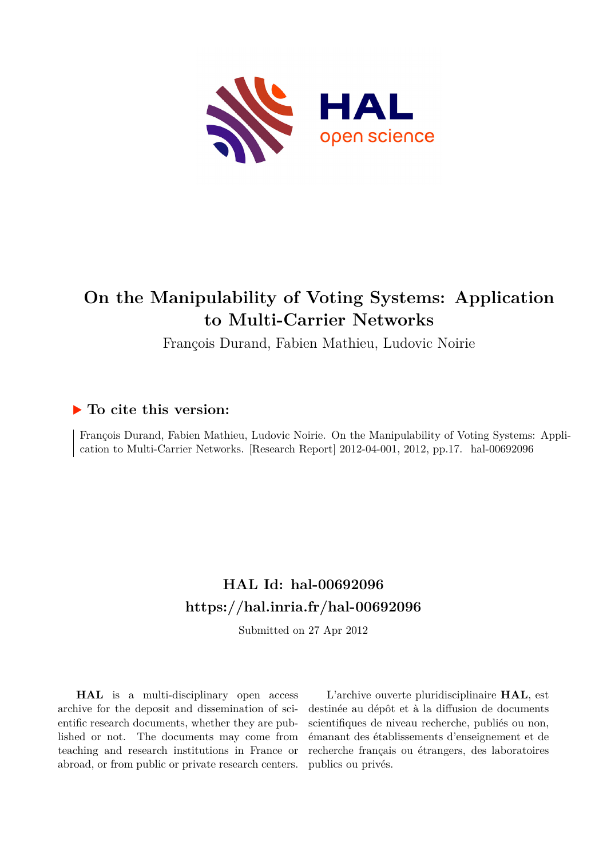

# **On the Manipulability of Voting Systems: Application to Multi-Carrier Networks**

François Durand, Fabien Mathieu, Ludovic Noirie

# **To cite this version:**

François Durand, Fabien Mathieu, Ludovic Noirie. On the Manipulability of Voting Systems: Application to Multi-Carrier Networks. [Research Report] 2012-04-001, 2012, pp.17. hal-00692096

# **HAL Id: hal-00692096 <https://hal.inria.fr/hal-00692096>**

Submitted on 27 Apr 2012

**HAL** is a multi-disciplinary open access archive for the deposit and dissemination of scientific research documents, whether they are published or not. The documents may come from teaching and research institutions in France or abroad, or from public or private research centers.

L'archive ouverte pluridisciplinaire **HAL**, est destinée au dépôt et à la diffusion de documents scientifiques de niveau recherche, publiés ou non, émanant des établissements d'enseignement et de recherche français ou étrangers, des laboratoires publics ou privés.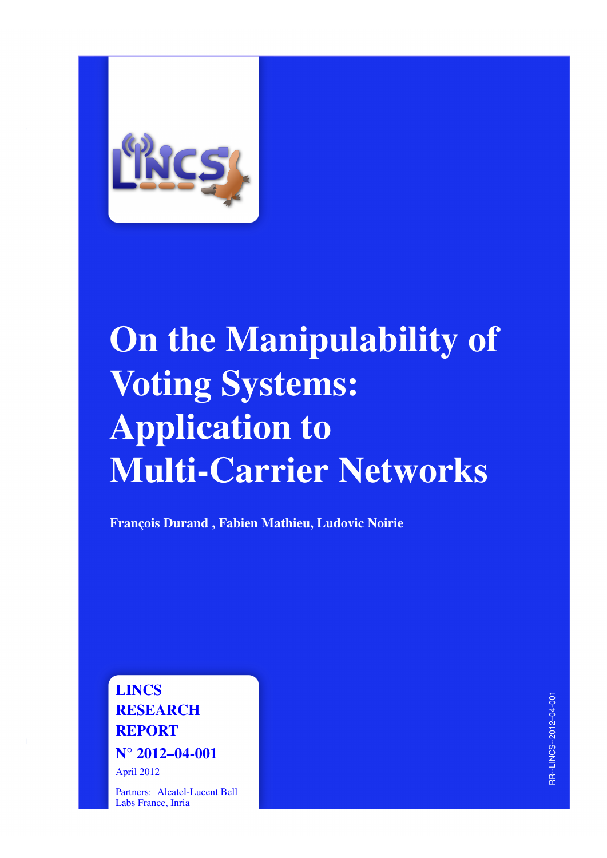

# On the Manipulability of Voting Systems: Application to Multi-Carrier Networks

François Durand , Fabien Mathieu, Ludovic Noirie

LINCS **RESEARCH** REPORT N° 2012–04-001

April 2012

Partners: Alcatel-Lucent Bell Labs France, Inria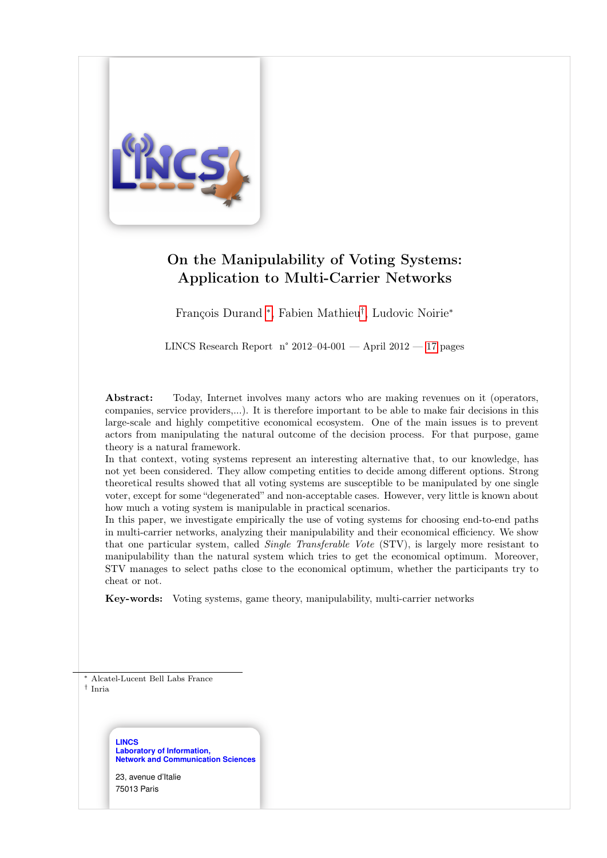

# On the Manipulability of Voting Systems: Application to Multi-Carrier Networks

François Durand ∗ , Fabien Mathieu† , Ludovic Noirie<sup>∗</sup>

LINCS Research Report n° 2012–04-001 — April 2012 — 17 pages

Abstract: Today, Internet involves many actors who are making revenues on it (operators, companies, service providers,...). It is therefore important to be able to make fair decisions in this large-scale and highly competitive economical ecosystem. One of the main issues is to prevent actors from manipulating the natural outcome of the decision process. For that purpose, game theory is a natural framework.

In that context, voting systems represent an interesting alternative that, to our knowledge, has not yet been considered. They allow competing entities to decide among different options. Strong theoretical results showed that all voting systems are susceptible to be manipulated by one single voter, except for some "degenerated" and non-acceptable cases. However, very little is known about how much a voting system is manipulable in practical scenarios.

In this paper, we investigate empirically the use of voting systems for choosing end-to-end paths in multi-carrier networks, analyzing their manipulability and their economical efficiency. We show that one particular system, called Single Transferable Vote (STV), is largely more resistant to manipulability than the natural system which tries to get the economical optimum. Moreover, STV manages to select paths close to the economical optimum, whether the participants try to cheat or not.

Key-words: Voting systems, game theory, manipulability, multi-carrier networks

<sup>∗</sup> Alcatel-Lucent Bell Labs France

† Inria

**LINCS Laboratory of Information, Network and Communication Sciences**

23, avenue d'Italie 75013 Paris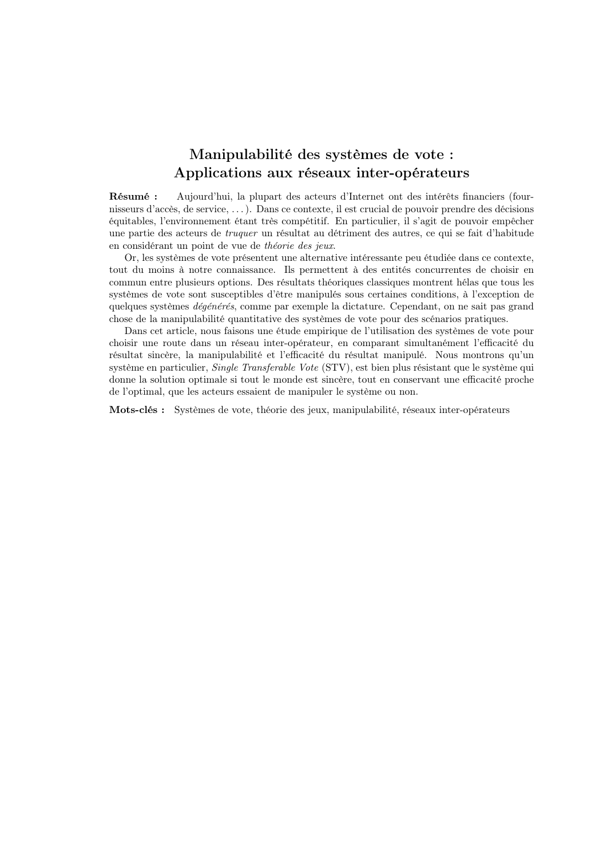# Manipulabilité des systèmes de vote : Applications aux réseaux inter-opérateurs

Résumé : Aujourd'hui, la plupart des acteurs d'Internet ont des intérêts financiers (fournisseurs d'accès, de service, . . . ). Dans ce contexte, il est crucial de pouvoir prendre des décisions équitables, l'environnement étant très compétitif. En particulier, il s'agit de pouvoir empêcher une partie des acteurs de truquer un résultat au détriment des autres, ce qui se fait d'habitude en considérant un point de vue de théorie des jeux.

Or, les systèmes de vote présentent une alternative intéressante peu étudiée dans ce contexte, tout du moins à notre connaissance. Ils permettent à des entités concurrentes de choisir en commun entre plusieurs options. Des résultats théoriques classiques montrent hélas que tous les systèmes de vote sont susceptibles d'être manipulés sous certaines conditions, à l'exception de quelques systèmes dégénérés, comme par exemple la dictature. Cependant, on ne sait pas grand chose de la manipulabilité quantitative des systèmes de vote pour des scénarios pratiques.

Dans cet article, nous faisons une étude empirique de l'utilisation des systèmes de vote pour choisir une route dans un réseau inter-opérateur, en comparant simultanément l'efficacité du résultat sincère, la manipulabilité et l'efficacité du résultat manipulé. Nous montrons qu'un système en particulier, Single Transferable Vote (STV), est bien plus résistant que le système qui donne la solution optimale si tout le monde est sincère, tout en conservant une efficacité proche de l'optimal, que les acteurs essaient de manipuler le système ou non.

Mots-clés : Systèmes de vote, théorie des jeux, manipulabilité, réseaux inter-opérateurs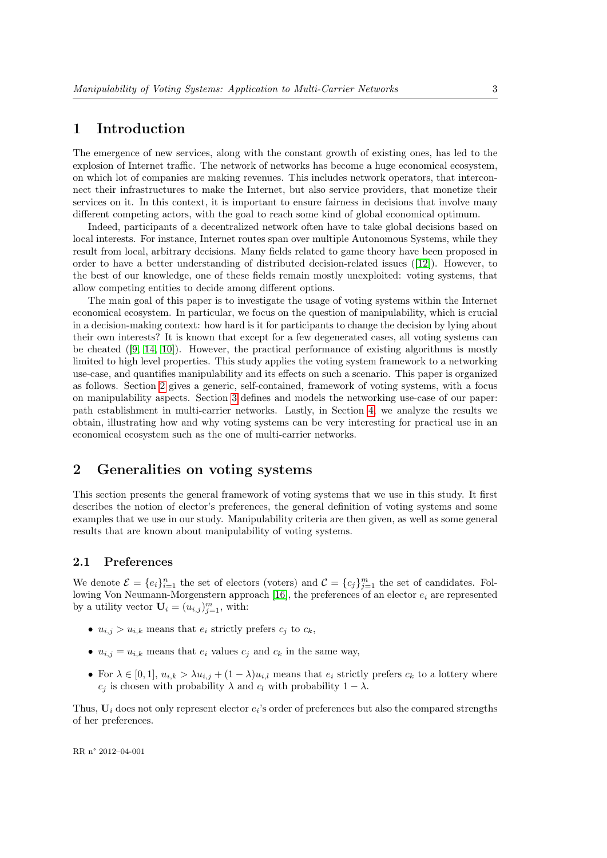## 1 Introduction

The emergence of new services, along with the constant growth of existing ones, has led to the explosion of Internet traffic. The network of networks has become a huge economical ecosystem, on which lot of companies are making revenues. This includes network operators, that interconnect their infrastructures to make the Internet, but also service providers, that monetize their services on it. In this context, it is important to ensure fairness in decisions that involve many different competing actors, with the goal to reach some kind of global economical optimum.

Indeed, participants of a decentralized network often have to take global decisions based on local interests. For instance, Internet routes span over multiple Autonomous Systems, while they result from local, arbitrary decisions. Many fields related to game theory have been proposed in order to have a better understanding of distributed decision-related issues ([12]). However, to the best of our knowledge, one of these fields remain mostly unexploited: voting systems, that allow competing entities to decide among different options.

The main goal of this paper is to investigate the usage of voting systems within the Internet economical ecosystem. In particular, we focus on the question of manipulability, which is crucial in a decision-making context: how hard is it for participants to change the decision by lying about their own interests? It is known that except for a few degenerated cases, all voting systems can be cheated ([9, 14, 10]). However, the practical performance of existing algorithms is mostly limited to high level properties. This study applies the voting system framework to a networking use-case, and quantifies manipulability and its effects on such a scenario. This paper is organized as follows. Section 2 gives a generic, self-contained, framework of voting systems, with a focus on manipulability aspects. Section 3 defines and models the networking use-case of our paper: path establishment in multi-carrier networks. Lastly, in Section 4, we analyze the results we obtain, illustrating how and why voting systems can be very interesting for practical use in an economical ecosystem such as the one of multi-carrier networks.

## 2 Generalities on voting systems

This section presents the general framework of voting systems that we use in this study. It first describes the notion of elector's preferences, the general definition of voting systems and some examples that we use in our study. Manipulability criteria are then given, as well as some general results that are known about manipulability of voting systems.

#### 2.1 Preferences

We denote  $\mathcal{E} = \{e_i\}_{i=1}^n$  the set of electors (voters) and  $\mathcal{C} = \{c_j\}_{j=1}^m$  the set of candidates. Following Von Neumann-Morgenstern approach [16], the preferences of an elector  $e_i$  are represented by a utility vector  $\mathbf{U}_i = (u_{i,j})_{j=1}^m$ , with:

- $u_{i,j} > u_{i,k}$  means that  $e_i$  strictly prefers  $c_j$  to  $c_k$ ,
- $u_{i,j} = u_{i,k}$  means that  $e_i$  values  $c_j$  and  $c_k$  in the same way,
- For  $\lambda \in [0,1], u_{i,k} > \lambda u_{i,j} + (1-\lambda)u_{i,l}$  means that  $e_i$  strictly prefers  $c_k$  to a lottery where  $c_j$  is chosen with probability  $\lambda$  and  $c_l$  with probability  $1 - \lambda$ .

Thus,  $U_i$  does not only represent elector  $e_i$ 's order of preferences but also the compared strengths of her preferences.

RR n° 2012–04-001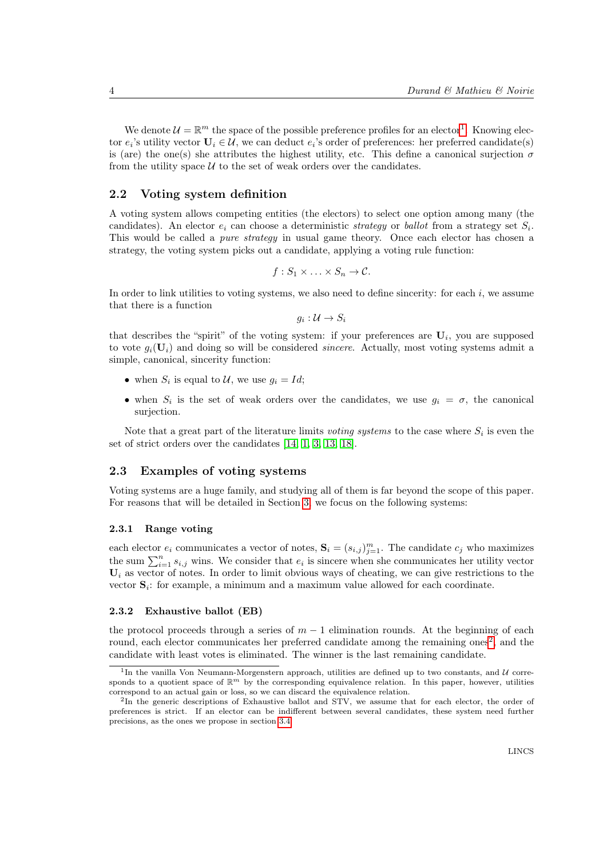We denote  $\mathcal{U} = \mathbb{R}^m$  the space of the possible preference profiles for an elector<sup>1</sup>. Knowing elector  $e_i$ 's utility vector  $\mathbf{U}_i \in \mathcal{U}$ , we can deduct  $e_i$ 's order of preferences: her preferred candidate(s) is (are) the one(s) she attributes the highest utility, etc. This define a canonical surjection  $\sigma$ from the utility space  $U$  to the set of weak orders over the candidates.

#### 2.2 Voting system definition

A voting system allows competing entities (the electors) to select one option among many (the candidates). An elector  $e_i$  can choose a deterministic *strategy* or *ballot* from a strategy set  $S_i$ . This would be called a *pure strategy* in usual game theory. Once each elector has chosen a strategy, the voting system picks out a candidate, applying a voting rule function:

$$
f:S_1\times\ldots\times S_n\to\mathcal{C}.
$$

In order to link utilities to voting systems, we also need to define sincerity: for each  $i$ , we assume that there is a function

$$
g_i:\mathcal{U}\to S_i
$$

that describes the "spirit" of the voting system: if your preferences are  $U_i$ , you are supposed to vote  $g_i(\mathbf{U}_i)$  and doing so will be considered *sincere*. Actually, most voting systems admit a simple, canonical, sincerity function:

- when  $S_i$  is equal to  $\mathcal{U}$ , we use  $g_i = Id;$
- when  $S_i$  is the set of weak orders over the candidates, we use  $g_i = \sigma$ , the canonical surjection.

Note that a great part of the literature limits voting systems to the case where  $S_i$  is even the set of strict orders over the candidates [14, 1, 3, 13, 18].

#### 2.3 Examples of voting systems

Voting systems are a huge family, and studying all of them is far beyond the scope of this paper. For reasons that will be detailed in Section 3, we focus on the following systems:

#### 2.3.1 Range voting

each elector  $e_i$  communicates a vector of notes,  $\mathbf{S}_i = (s_{i,j})_{j=1}^m$ . The candidate  $c_j$  who maximizes the sum  $\sum_{i=1}^{n} s_{i,j}$  wins. We consider that  $e_i$  is sincere when she communicates her utility vector  $U_i$  as vector of notes. In order to limit obvious ways of cheating, we can give restrictions to the vector  $S_i$ : for example, a minimum and a maximum value allowed for each coordinate.

#### 2.3.2 Exhaustive ballot (EB)

the protocol proceeds through a series of  $m-1$  elimination rounds. At the beginning of each round, each elector communicates her preferred candidate among the remaining ones<sup>2</sup>, and the candidate with least votes is eliminated. The winner is the last remaining candidate.

<sup>&</sup>lt;sup>1</sup>In the vanilla Von Neumann-Morgenstern approach, utilities are defined up to two constants, and  $U$  corresponds to a quotient space of  $\mathbb{R}^m$  by the corresponding equivalence relation. In this paper, however, utilities correspond to an actual gain or loss, so we can discard the equivalence relation.

<sup>&</sup>lt;sup>2</sup>In the generic descriptions of Exhaustive ballot and STV, we assume that for each elector, the order of preferences is strict. If an elector can be indifferent between several candidates, these system need further precisions, as the ones we propose in section 3.4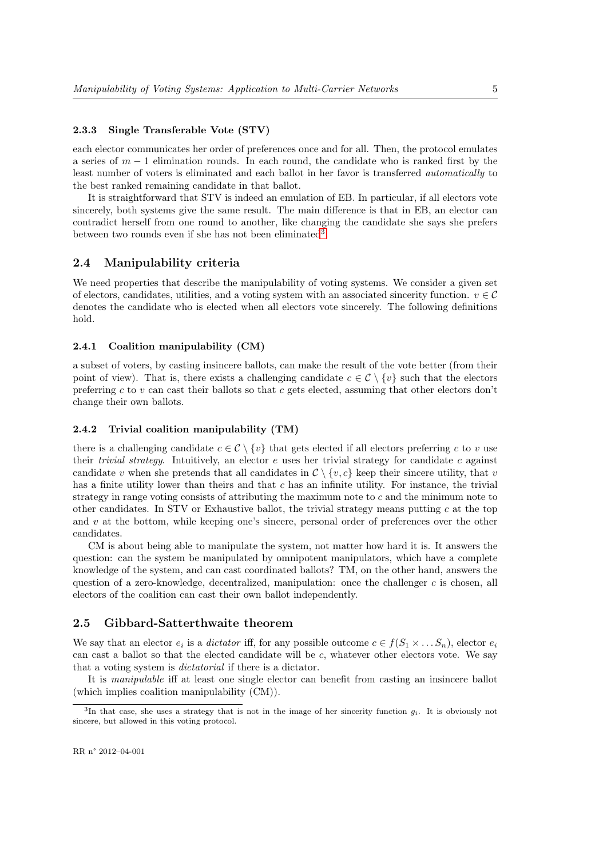#### 2.3.3 Single Transferable Vote (STV)

each elector communicates her order of preferences once and for all. Then, the protocol emulates a series of  $m-1$  elimination rounds. In each round, the candidate who is ranked first by the least number of voters is eliminated and each ballot in her favor is transferred automatically to the best ranked remaining candidate in that ballot.

It is straightforward that STV is indeed an emulation of EB. In particular, if all electors vote sincerely, both systems give the same result. The main difference is that in EB, an elector can contradict herself from one round to another, like changing the candidate she says she prefers between two rounds even if she has not been eliminated<sup>3</sup>.

#### 2.4 Manipulability criteria

We need properties that describe the manipulability of voting systems. We consider a given set of electors, candidates, utilities, and a voting system with an associated sincerity function.  $v \in \mathcal{C}$ denotes the candidate who is elected when all electors vote sincerely. The following definitions hold.

#### 2.4.1 Coalition manipulability (CM)

a subset of voters, by casting insincere ballots, can make the result of the vote better (from their point of view). That is, there exists a challenging candidate  $c \in \mathcal{C} \setminus \{v\}$  such that the electors preferring c to  $v$  can cast their ballots so that c gets elected, assuming that other electors don't change their own ballots.

#### 2.4.2 Trivial coalition manipulability (TM)

there is a challenging candidate  $c \in \mathcal{C} \setminus \{v\}$  that gets elected if all electors preferring c to v use their *trivial strategy*. Intuitively, an elector  $e$  uses her trivial strategy for candidate  $c$  against candidate v when she pretends that all candidates in  $\mathcal{C} \setminus \{v, c\}$  keep their sincere utility, that v has a finite utility lower than theirs and that c has an infinite utility. For instance, the trivial strategy in range voting consists of attributing the maximum note to c and the minimum note to other candidates. In STV or Exhaustive ballot, the trivial strategy means putting  $c$  at the top and  $v$  at the bottom, while keeping one's sincere, personal order of preferences over the other candidates.

CM is about being able to manipulate the system, not matter how hard it is. It answers the question: can the system be manipulated by omnipotent manipulators, which have a complete knowledge of the system, and can cast coordinated ballots? TM, on the other hand, answers the question of a zero-knowledge, decentralized, manipulation: once the challenger  $c$  is chosen, all electors of the coalition can cast their own ballot independently.

#### 2.5 Gibbard-Satterthwaite theorem

We say that an elector  $e_i$  is a *dictator* iff, for any possible outcome  $c \in f(S_1 \times \ldots S_n)$ , elector  $e_i$ can cast a ballot so that the elected candidate will be  $c$ , whatever other electors vote. We say that a voting system is dictatorial if there is a dictator.

It is manipulable iff at least one single elector can benefit from casting an insincere ballot (which implies coalition manipulability (CM)).

<sup>&</sup>lt;sup>3</sup>In that case, she uses a strategy that is not in the image of her sincerity function  $g_i$ . It is obviously not sincere, but allowed in this voting protocol.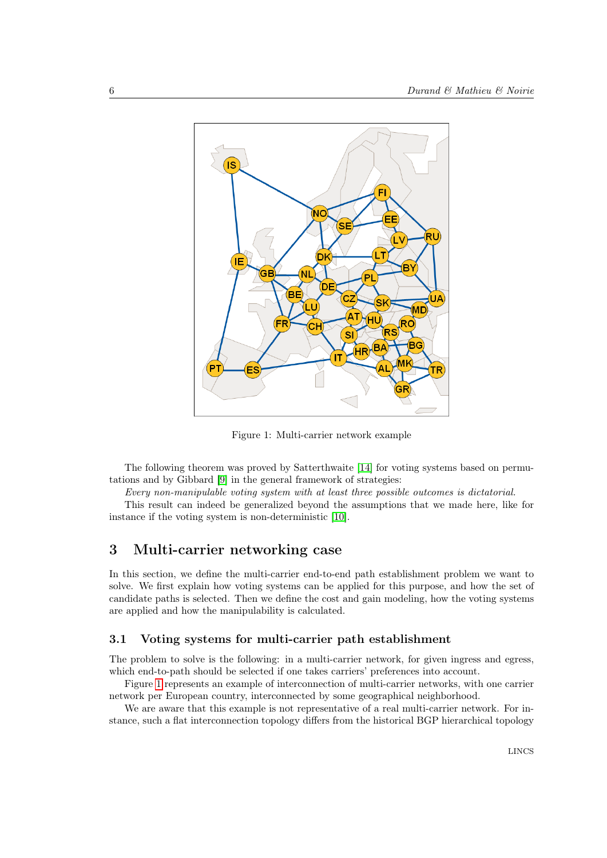

Figure 1: Multi-carrier network example

The following theorem was proved by Satterthwaite [14] for voting systems based on permutations and by Gibbard [9] in the general framework of strategies:

Every non-manipulable voting system with at least three possible outcomes is dictatorial.

This result can indeed be generalized beyond the assumptions that we made here, like for instance if the voting system is non-deterministic [10].

## 3 Multi-carrier networking case

In this section, we define the multi-carrier end-to-end path establishment problem we want to solve. We first explain how voting systems can be applied for this purpose, and how the set of candidate paths is selected. Then we define the cost and gain modeling, how the voting systems are applied and how the manipulability is calculated.

#### 3.1 Voting systems for multi-carrier path establishment

The problem to solve is the following: in a multi-carrier network, for given ingress and egress, which end-to-path should be selected if one takes carriers' preferences into account.

Figure 1 represents an example of interconnection of multi-carrier networks, with one carrier network per European country, interconnected by some geographical neighborhood.

We are aware that this example is not representative of a real multi-carrier network. For instance, such a flat interconnection topology differs from the historical BGP hierarchical topology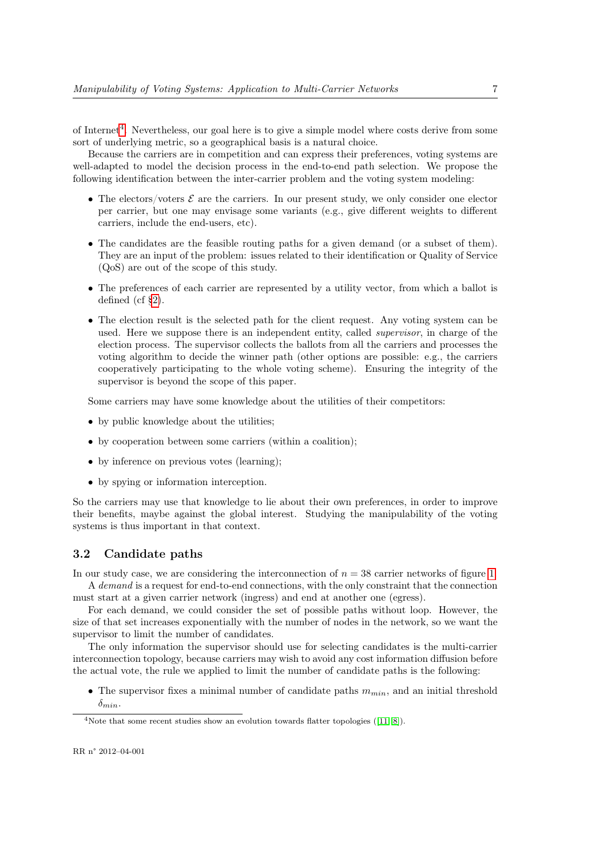of Internet<sup>4</sup>. Nevertheless, our goal here is to give a simple model where costs derive from some sort of underlying metric, so a geographical basis is a natural choice.

Because the carriers are in competition and can express their preferences, voting systems are well-adapted to model the decision process in the end-to-end path selection. We propose the following identification between the inter-carrier problem and the voting system modeling:

- The electors/voters  $\mathcal E$  are the carriers. In our present study, we only consider one elector per carrier, but one may envisage some variants (e.g., give different weights to different carriers, include the end-users, etc).
- The candidates are the feasible routing paths for a given demand (or a subset of them). They are an input of the problem: issues related to their identification or Quality of Service (QoS) are out of the scope of this study.
- The preferences of each carrier are represented by a utility vector, from which a ballot is defined (cf §2).
- The election result is the selected path for the client request. Any voting system can be used. Here we suppose there is an independent entity, called *supervisor*, in charge of the election process. The supervisor collects the ballots from all the carriers and processes the voting algorithm to decide the winner path (other options are possible: e.g., the carriers cooperatively participating to the whole voting scheme). Ensuring the integrity of the supervisor is beyond the scope of this paper.

Some carriers may have some knowledge about the utilities of their competitors:

- by public knowledge about the utilities;
- by cooperation between some carriers (within a coalition);
- by inference on previous votes (learning);
- by spying or information interception.

So the carriers may use that knowledge to lie about their own preferences, in order to improve their benefits, maybe against the global interest. Studying the manipulability of the voting systems is thus important in that context.

#### 3.2 Candidate paths

In our study case, we are considering the interconnection of  $n = 38$  carrier networks of figure 1. A demand is a request for end-to-end connections, with the only constraint that the connection must start at a given carrier network (ingress) and end at another one (egress).

For each demand, we could consider the set of possible paths without loop. However, the size of that set increases exponentially with the number of nodes in the network, so we want the supervisor to limit the number of candidates.

The only information the supervisor should use for selecting candidates is the multi-carrier interconnection topology, because carriers may wish to avoid any cost information diffusion before the actual vote, the rule we applied to limit the number of candidate paths is the following:

• The supervisor fixes a minimal number of candidate paths  $m_{min}$ , and an initial threshold  $\delta_{min}$ .

<sup>&</sup>lt;sup>4</sup>Note that some recent studies show an evolution towards flatter topologies ([11, 8]).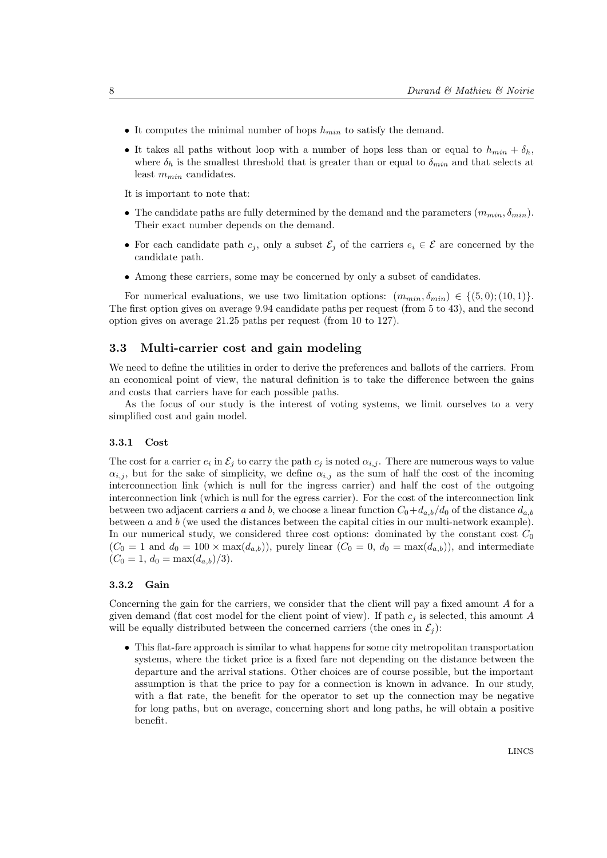- It computes the minimal number of hops  $h_{min}$  to satisfy the demand.
- It takes all paths without loop with a number of hops less than or equal to  $h_{min} + \delta_h$ , where  $\delta_h$  is the smallest threshold that is greater than or equal to  $\delta_{min}$  and that selects at least  $m_{min}$  candidates.

It is important to note that:

- The candidate paths are fully determined by the demand and the parameters  $(m_{min}, \delta_{min})$ . Their exact number depends on the demand.
- For each candidate path  $c_j$ , only a subset  $\mathcal{E}_j$  of the carriers  $e_i \in \mathcal{E}$  are concerned by the candidate path.
- Among these carriers, some may be concerned by only a subset of candidates.

For numerical evaluations, we use two limitation options:  $(m_{min}, \delta_{min}) \in \{ (5, 0); (10, 1) \}.$ The first option gives on average 9.94 candidate paths per request (from 5 to 43), and the second option gives on average 21.25 paths per request (from 10 to 127).

#### 3.3 Multi-carrier cost and gain modeling

We need to define the utilities in order to derive the preferences and ballots of the carriers. From an economical point of view, the natural definition is to take the difference between the gains and costs that carriers have for each possible paths.

As the focus of our study is the interest of voting systems, we limit ourselves to a very simplified cost and gain model.

#### 3.3.1 Cost

The cost for a carrier  $e_i$  in  $\mathcal{E}_j$  to carry the path  $c_j$  is noted  $\alpha_{i,j}$ . There are numerous ways to value  $\alpha_{i,j}$ , but for the sake of simplicity, we define  $\alpha_{i,j}$  as the sum of half the cost of the incoming interconnection link (which is null for the ingress carrier) and half the cost of the outgoing interconnection link (which is null for the egress carrier). For the cost of the interconnection link between two adjacent carriers a and b, we choose a linear function  $C_0+d_{a,b}/d_0$  of the distance  $d_{a,b}$ between  $a$  and  $b$  (we used the distances between the capital cities in our multi-network example). In our numerical study, we considered three cost options: dominated by the constant cost  $C_0$  $(C_0 = 1$  and  $d_0 = 100 \times \max(d_{a,b})$ , purely linear  $(C_0 = 0, d_0 = \max(d_{a,b}))$ , and intermediate  $(C_0 = 1, d_0 = \max(d_{a,b})/3).$ 

#### 3.3.2 Gain

Concerning the gain for the carriers, we consider that the client will pay a fixed amount A for a given demand (flat cost model for the client point of view). If path  $c_j$  is selected, this amount A will be equally distributed between the concerned carriers (the ones in  $\mathcal{E}_i$ ):

• This flat-fare approach is similar to what happens for some city metropolitan transportation systems, where the ticket price is a fixed fare not depending on the distance between the departure and the arrival stations. Other choices are of course possible, but the important assumption is that the price to pay for a connection is known in advance. In our study, with a flat rate, the benefit for the operator to set up the connection may be negative for long paths, but on average, concerning short and long paths, he will obtain a positive benefit.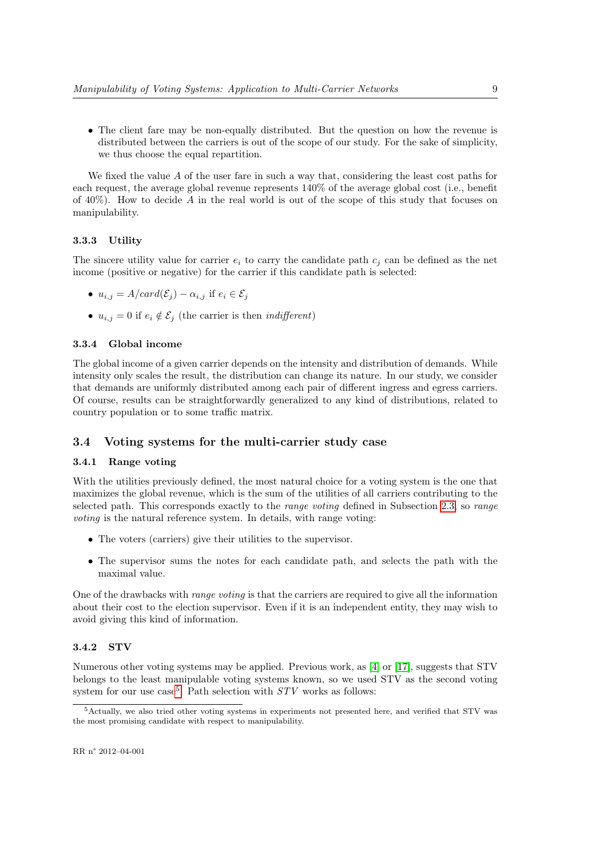• The client fare may be non-equally distributed. But the question on how the revenue is distributed between the carriers is out of the scope of our study. For the sake of simplicity, we thus choose the equal repartition.

We fixed the value A of the user fare in such a way that, considering the least cost paths for each request, the average global revenue represents 140% of the average global cost (i.e., benefit of  $40\%$ ). How to decide A in the real world is out of the scope of this study that focuses on manipulability.

#### 3.3.3 Utility

The sincere utility value for carrier  $e_i$  to carry the candidate path  $c_j$  can be defined as the net income (positive or negative) for the carrier if this candidate path is selected:

- $u_{i,j} = A/card(\mathcal{E}_j) \alpha_{i,j}$  if  $e_i \in \mathcal{E}_j$
- $u_{i,j} = 0$  if  $e_i \notin \mathcal{E}_j$  (the carrier is then *indifferent*)

#### 3.3.4 Global income

The global income of a given carrier depends on the intensity and distribution of demands. While intensity only scales the result, the distribution can change its nature. In our study, we consider that demands are uniformly distributed among each pair of different ingress and egress carriers. Of course, results can be straightforwardly generalized to any kind of distributions, related to country population or to some traffic matrix.

#### 3.4 Voting systems for the multi-carrier study case

#### 3.4.1 Range voting

With the utilities previously defined, the most natural choice for a voting system is the one that maximizes the global revenue, which is the sum of the utilities of all carriers contributing to the selected path. This corresponds exactly to the range voting defined in Subsection 2.3, so range voting is the natural reference system. In details, with range voting:

- The voters (carriers) give their utilities to the supervisor.
- The supervisor sums the notes for each candidate path, and selects the path with the maximal value.

One of the drawbacks with range voting is that the carriers are required to give all the information about their cost to the election supervisor. Even if it is an independent entity, they may wish to avoid giving this kind of information.

#### 3.4.2 STV

Numerous other voting systems may be applied. Previous work, as [4] or [17], suggests that STV belongs to the least manipulable voting systems known, so we used STV as the second voting system for our use case<sup>5</sup>. Path selection with  $STV$  works as follows:

<sup>5</sup>Actually, we also tried other voting systems in experiments not presented here, and verified that STV was the most promising candidate with respect to manipulability.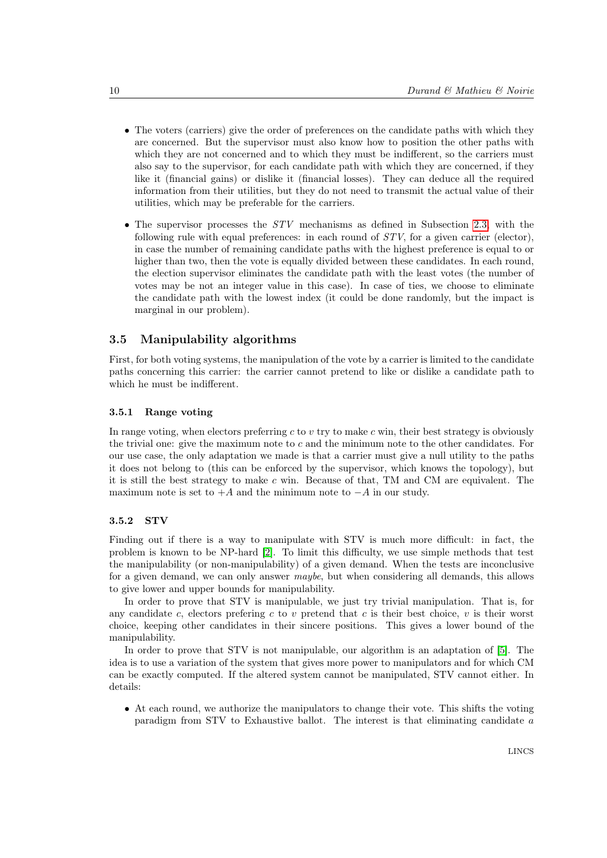- The voters (carriers) give the order of preferences on the candidate paths with which they are concerned. But the supervisor must also know how to position the other paths with which they are not concerned and to which they must be indifferent, so the carriers must also say to the supervisor, for each candidate path with which they are concerned, if they like it (financial gains) or dislike it (financial losses). They can deduce all the required information from their utilities, but they do not need to transmit the actual value of their utilities, which may be preferable for the carriers.
- The supervisor processes the STV mechanisms as defined in Subsection 2.3, with the following rule with equal preferences: in each round of  $STV$ , for a given carrier (elector), in case the number of remaining candidate paths with the highest preference is equal to or higher than two, then the vote is equally divided between these candidates. In each round, the election supervisor eliminates the candidate path with the least votes (the number of votes may be not an integer value in this case). In case of ties, we choose to eliminate the candidate path with the lowest index (it could be done randomly, but the impact is marginal in our problem).

#### 3.5 Manipulability algorithms

First, for both voting systems, the manipulation of the vote by a carrier is limited to the candidate paths concerning this carrier: the carrier cannot pretend to like or dislike a candidate path to which he must be indifferent.

#### 3.5.1 Range voting

In range voting, when electors preferring  $c$  to  $v$  try to make  $c$  win, their best strategy is obviously the trivial one: give the maximum note to c and the minimum note to the other candidates. For our use case, the only adaptation we made is that a carrier must give a null utility to the paths it does not belong to (this can be enforced by the supervisor, which knows the topology), but it is still the best strategy to make c win. Because of that, TM and CM are equivalent. The maximum note is set to  $+A$  and the minimum note to  $-A$  in our study.

#### 3.5.2 STV

Finding out if there is a way to manipulate with STV is much more difficult: in fact, the problem is known to be NP-hard [2]. To limit this difficulty, we use simple methods that test the manipulability (or non-manipulability) of a given demand. When the tests are inconclusive for a given demand, we can only answer maybe, but when considering all demands, this allows to give lower and upper bounds for manipulability.

In order to prove that STV is manipulable, we just try trivial manipulation. That is, for any candidate c, electors prefering c to v pretend that c is their best choice, v is their worst choice, keeping other candidates in their sincere positions. This gives a lower bound of the manipulability.

In order to prove that STV is not manipulable, our algorithm is an adaptation of [5]. The idea is to use a variation of the system that gives more power to manipulators and for which CM can be exactly computed. If the altered system cannot be manipulated, STV cannot either. In details:

• At each round, we authorize the manipulators to change their vote. This shifts the voting paradigm from STV to Exhaustive ballot. The interest is that eliminating candidate a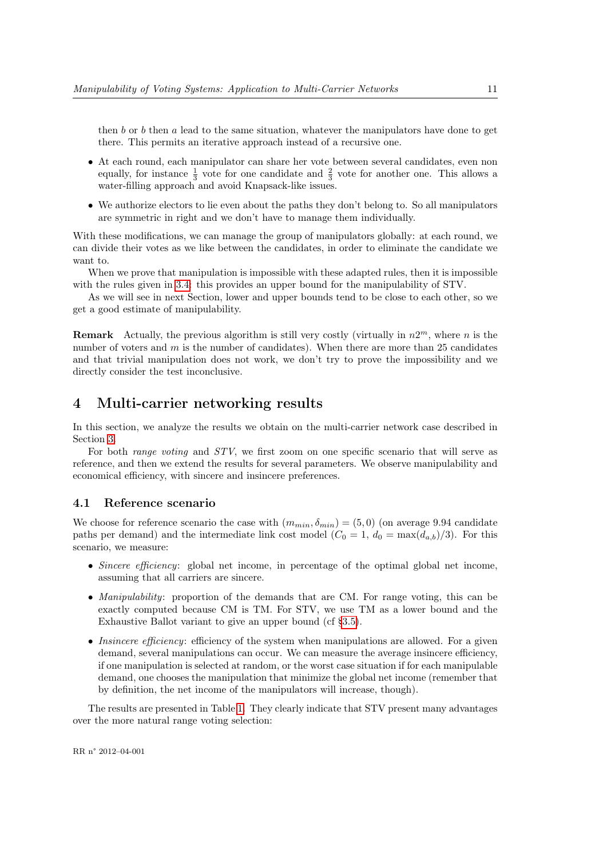then b or b then a lead to the same situation, whatever the manipulators have done to get there. This permits an iterative approach instead of a recursive one.

- At each round, each manipulator can share her vote between several candidates, even non equally, for instance  $\frac{1}{3}$  vote for one candidate and  $\frac{2}{3}$  vote for another one. This allows a water-filling approach and avoid Knapsack-like issues.
- We authorize electors to lie even about the paths they don't belong to. So all manipulators are symmetric in right and we don't have to manage them individually.

With these modifications, we can manage the group of manipulators globally: at each round, we can divide their votes as we like between the candidates, in order to eliminate the candidate we want to.

When we prove that manipulation is impossible with these adapted rules, then it is impossible with the rules given in 3.4: this provides an upper bound for the manipulability of STV.

As we will see in next Section, lower and upper bounds tend to be close to each other, so we get a good estimate of manipulability.

**Remark** Actually, the previous algorithm is still very costly (virtually in  $n2^m$ , where n is the number of voters and  $m$  is the number of candidates). When there are more than 25 candidates and that trivial manipulation does not work, we don't try to prove the impossibility and we directly consider the test inconclusive.

## 4 Multi-carrier networking results

In this section, we analyze the results we obtain on the multi-carrier network case described in Section 3.

For both *range voting* and STV, we first zoom on one specific scenario that will serve as reference, and then we extend the results for several parameters. We observe manipulability and economical efficiency, with sincere and insincere preferences.

#### 4.1 Reference scenario

We choose for reference scenario the case with  $(m_{min}, \delta_{min}) = (5, 0)$  (on average 9.94 candidate paths per demand) and the intermediate link cost model  $(C_0 = 1, d_0 = \max(d_{a,b})/3)$ . For this scenario, we measure:

- Sincere efficiency: global net income, in percentage of the optimal global net income, assuming that all carriers are sincere.
- Manipulability: proportion of the demands that are CM. For range voting, this can be exactly computed because CM is TM. For STV, we use TM as a lower bound and the Exhaustive Ballot variant to give an upper bound (cf §3.5).
- Insincere efficiency: efficiency of the system when manipulations are allowed. For a given demand, several manipulations can occur. We can measure the average insincere efficiency, if one manipulation is selected at random, or the worst case situation if for each manipulable demand, one chooses the manipulation that minimize the global net income (remember that by definition, the net income of the manipulators will increase, though).

The results are presented in Table 1. They clearly indicate that STV present many advantages over the more natural range voting selection: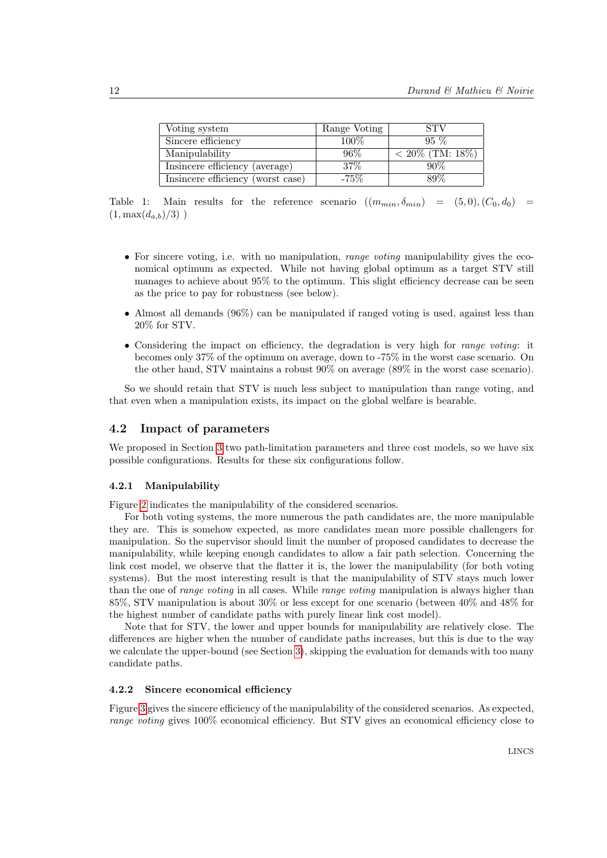| Voting system                     | Range Voting | <b>STV</b>         |
|-----------------------------------|--------------|--------------------|
| Sincere efficiency                | $100\%$      | $95\%$             |
| Manipulability                    | $96\%$       | $< 20\%$ (TM: 18%) |
| Insincere efficiency (average)    | 37\%         | 90%                |
| Insincere efficiency (worst case) | $-75\%$      | 89\%               |

Table 1: Main results for the reference scenario  $((m_{min}, \delta_{min}) = (5, 0), (C_0, d_0)$  $(1, \max(d_{a,b})/3)$ )

- For sincere voting, i.e. with no manipulation, *range voting* manipulability gives the economical optimum as expected. While not having global optimum as a target STV still manages to achieve about 95% to the optimum. This slight efficiency decrease can be seen as the price to pay for robustness (see below).
- Almost all demands (96%) can be manipulated if ranged voting is used, against less than 20% for STV.
- Considering the impact on efficiency, the degradation is very high for *range voting*: it becomes only 37% of the optimum on average, down to -75% in the worst case scenario. On the other hand, STV maintains a robust 90% on average (89% in the worst case scenario).

So we should retain that STV is much less subject to manipulation than range voting, and that even when a manipulation exists, its impact on the global welfare is bearable.

#### 4.2 Impact of parameters

We proposed in Section 3 two path-limitation parameters and three cost models, so we have six possible configurations. Results for these six configurations follow.

#### 4.2.1 Manipulability

Figure 2 indicates the manipulability of the considered scenarios.

For both voting systems, the more numerous the path candidates are, the more manipulable they are. This is somehow expected, as more candidates mean more possible challengers for manipulation. So the supervisor should limit the number of proposed candidates to decrease the manipulability, while keeping enough candidates to allow a fair path selection. Concerning the link cost model, we observe that the flatter it is, the lower the manipulability (for both voting systems). But the most interesting result is that the manipulability of STV stays much lower than the one of *range voting* in all cases. While *range voting* manipulation is always higher than 85%, STV manipulation is about 30% or less except for one scenario (between 40% and 48% for the highest number of candidate paths with purely linear link cost model).

Note that for STV, the lower and upper bounds for manipulability are relatively close. The differences are higher when the number of candidate paths increases, but this is due to the way we calculate the upper-bound (see Section 3), skipping the evaluation for demands with too many candidate paths.

#### 4.2.2 Sincere economical efficiency

Figure 3 gives the sincere efficiency of the manipulability of the considered scenarios. As expected, range voting gives 100% economical efficiency. But STV gives an economical efficiency close to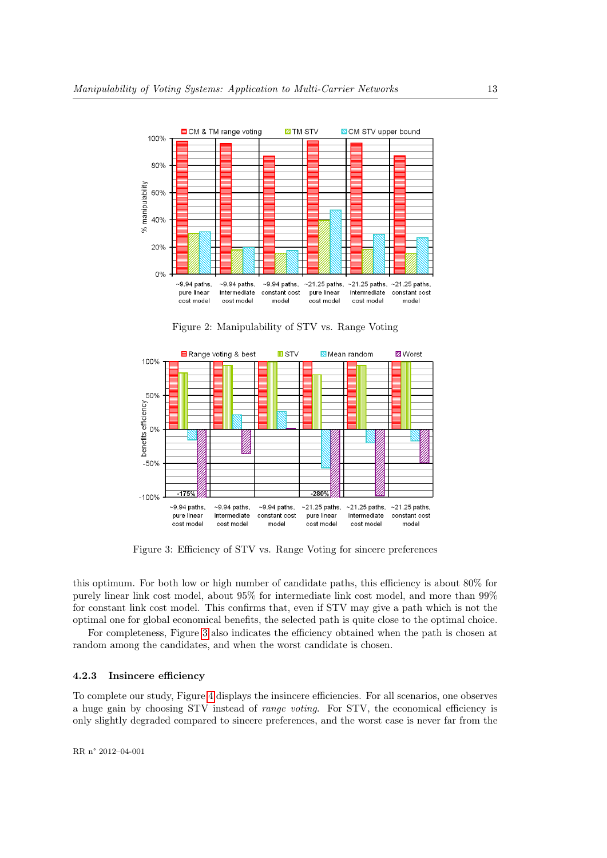

Figure 2: Manipulability of STV vs. Range Voting



Figure 3: Efficiency of STV vs. Range Voting for sincere preferences

this optimum. For both low or high number of candidate paths, this efficiency is about 80% for purely linear link cost model, about 95% for intermediate link cost model, and more than 99% for constant link cost model. This confirms that, even if STV may give a path which is not the optimal one for global economical benefits, the selected path is quite close to the optimal choice.

For completeness, Figure 3 also indicates the efficiency obtained when the path is chosen at random among the candidates, and when the worst candidate is chosen.

#### 4.2.3 Insincere efficiency

To complete our study, Figure 4 displays the insincere efficiencies. For all scenarios, one observes a huge gain by choosing STV instead of range voting. For STV, the economical efficiency is only slightly degraded compared to sincere preferences, and the worst case is never far from the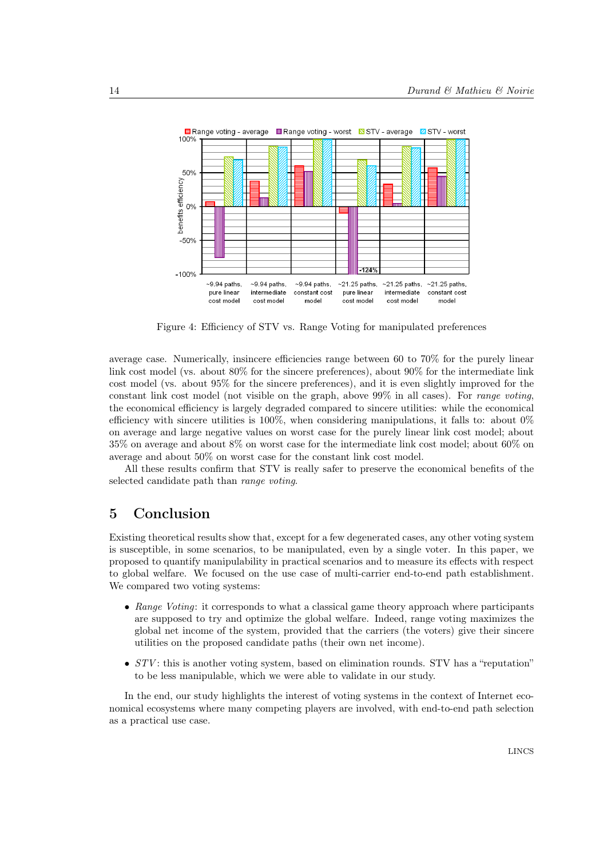

Figure 4: Efficiency of STV vs. Range Voting for manipulated preferences

average case. Numerically, insincere efficiencies range between 60 to 70% for the purely linear link cost model (vs. about 80% for the sincere preferences), about 90% for the intermediate link cost model (vs. about 95% for the sincere preferences), and it is even slightly improved for the constant link cost model (not visible on the graph, above  $99\%$  in all cases). For *range voting*, the economical efficiency is largely degraded compared to sincere utilities: while the economical efficiency with sincere utilities is 100%, when considering manipulations, it falls to: about 0% on average and large negative values on worst case for the purely linear link cost model; about 35% on average and about 8% on worst case for the intermediate link cost model; about 60% on average and about 50% on worst case for the constant link cost model.

All these results confirm that STV is really safer to preserve the economical benefits of the selected candidate path than range voting.

## 5 Conclusion

Existing theoretical results show that, except for a few degenerated cases, any other voting system is susceptible, in some scenarios, to be manipulated, even by a single voter. In this paper, we proposed to quantify manipulability in practical scenarios and to measure its effects with respect to global welfare. We focused on the use case of multi-carrier end-to-end path establishment. We compared two voting systems:

- Range Voting: it corresponds to what a classical game theory approach where participants are supposed to try and optimize the global welfare. Indeed, range voting maximizes the global net income of the system, provided that the carriers (the voters) give their sincere utilities on the proposed candidate paths (their own net income).
- $STV$ : this is another voting system, based on elimination rounds. STV has a "reputation" to be less manipulable, which we were able to validate in our study.

In the end, our study highlights the interest of voting systems in the context of Internet economical ecosystems where many competing players are involved, with end-to-end path selection as a practical use case.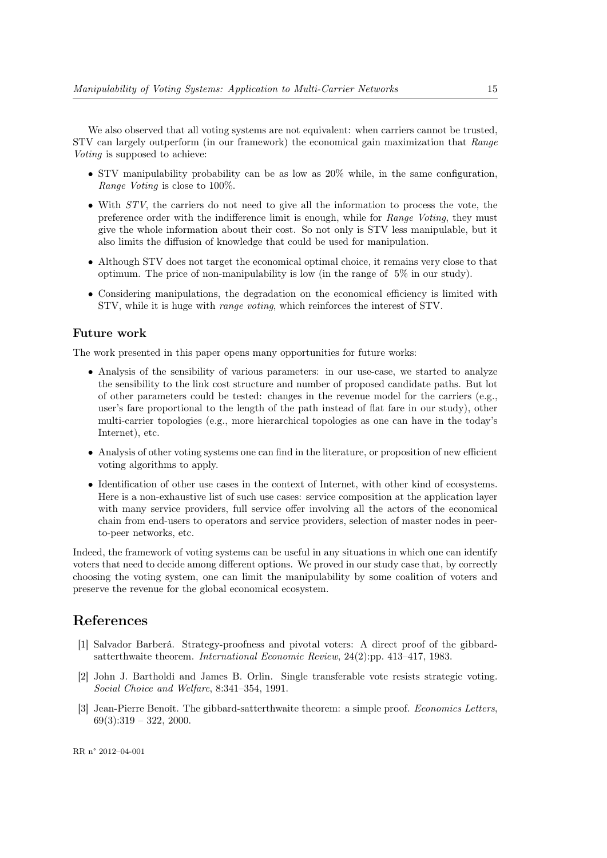We also observed that all voting systems are not equivalent: when carriers cannot be trusted, STV can largely outperform (in our framework) the economical gain maximization that Range Voting is supposed to achieve:

- STV manipulability probability can be as low as 20% while, in the same configuration, Range Voting is close to 100%.
- With  $STV$ , the carriers do not need to give all the information to process the vote, the preference order with the indifference limit is enough, while for Range Voting, they must give the whole information about their cost. So not only is STV less manipulable, but it also limits the diffusion of knowledge that could be used for manipulation.
- Although STV does not target the economical optimal choice, it remains very close to that optimum. The price of non-manipulability is low (in the range of  $5\%$  in our study).
- Considering manipulations, the degradation on the economical efficiency is limited with STV, while it is huge with range voting, which reinforces the interest of STV.

#### Future work

The work presented in this paper opens many opportunities for future works:

- Analysis of the sensibility of various parameters: in our use-case, we started to analyze the sensibility to the link cost structure and number of proposed candidate paths. But lot of other parameters could be tested: changes in the revenue model for the carriers (e.g., user's fare proportional to the length of the path instead of flat fare in our study), other multi-carrier topologies (e.g., more hierarchical topologies as one can have in the today's Internet), etc.
- Analysis of other voting systems one can find in the literature, or proposition of new efficient voting algorithms to apply.
- Identification of other use cases in the context of Internet, with other kind of ecosystems. Here is a non-exhaustive list of such use cases: service composition at the application layer with many service providers, full service offer involving all the actors of the economical chain from end-users to operators and service providers, selection of master nodes in peerto-peer networks, etc.

Indeed, the framework of voting systems can be useful in any situations in which one can identify voters that need to decide among different options. We proved in our study case that, by correctly choosing the voting system, one can limit the manipulability by some coalition of voters and preserve the revenue for the global economical ecosystem.

### References

- [1] Salvador Barberá. Strategy-proofness and pivotal voters: A direct proof of the gibbardsatterthwaite theorem. International Economic Review, 24(2):pp. 413–417, 1983.
- [2] John J. Bartholdi and James B. Orlin. Single transferable vote resists strategic voting. Social Choice and Welfare, 8:341–354, 1991.
- [3] Jean-Pierre Benoît. The gibbard-satterthwaite theorem: a simple proof. Economics Letters,  $69(3):319 - 322, 2000.$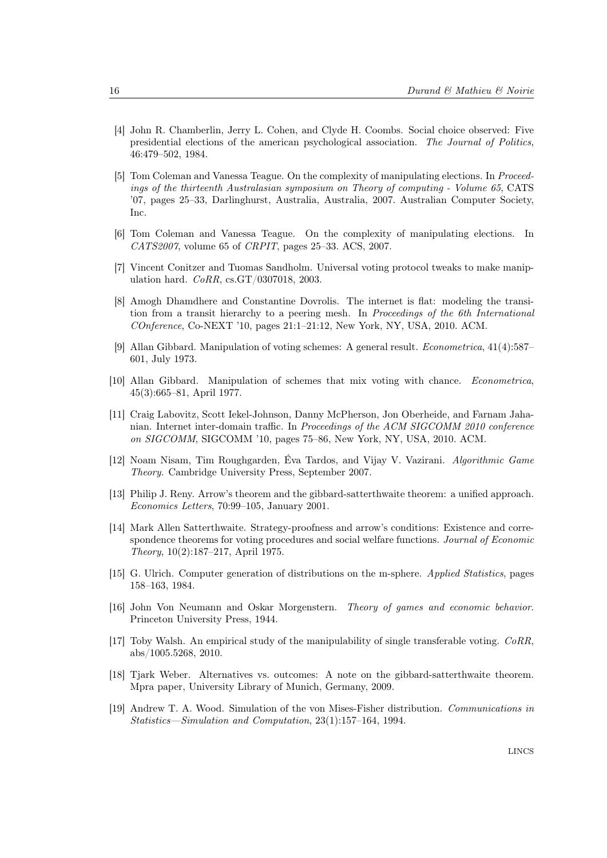- [4] John R. Chamberlin, Jerry L. Cohen, and Clyde H. Coombs. Social choice observed: Five presidential elections of the american psychological association. The Journal of Politics, 46:479–502, 1984.
- [5] Tom Coleman and Vanessa Teague. On the complexity of manipulating elections. In Proceedings of the thirteenth Australasian symposium on Theory of computing - Volume 65, CATS '07, pages 25–33, Darlinghurst, Australia, Australia, 2007. Australian Computer Society, Inc.
- [6] Tom Coleman and Vanessa Teague. On the complexity of manipulating elections. In CATS2007, volume 65 of CRPIT, pages 25–33. ACS, 2007.
- [7] Vincent Conitzer and Tuomas Sandholm. Universal voting protocol tweaks to make manipulation hard. CoRR, cs.GT/0307018, 2003.
- [8] Amogh Dhamdhere and Constantine Dovrolis. The internet is flat: modeling the transition from a transit hierarchy to a peering mesh. In Proceedings of the 6th International COnference, Co-NEXT '10, pages 21:1–21:12, New York, NY, USA, 2010. ACM.
- [9] Allan Gibbard. Manipulation of voting schemes: A general result. Econometrica, 41(4):587– 601, July 1973.
- [10] Allan Gibbard. Manipulation of schemes that mix voting with chance. Econometrica, 45(3):665–81, April 1977.
- [11] Craig Labovitz, Scott Iekel-Johnson, Danny McPherson, Jon Oberheide, and Farnam Jahanian. Internet inter-domain traffic. In Proceedings of the ACM SIGCOMM 2010 conference on SIGCOMM, SIGCOMM '10, pages 75–86, New York, NY, USA, 2010. ACM.
- [12] Noam Nisam, Tim Roughgarden, Éva Tardos, and Vijay V. Vazirani. Algorithmic Game Theory. Cambridge University Press, September 2007.
- [13] Philip J. Reny. Arrow's theorem and the gibbard-satterthwaite theorem: a unified approach. Economics Letters, 70:99–105, January 2001.
- [14] Mark Allen Satterthwaite. Strategy-proofness and arrow's conditions: Existence and correspondence theorems for voting procedures and social welfare functions. Journal of Economic Theory, 10(2):187–217, April 1975.
- [15] G. Ulrich. Computer generation of distributions on the m-sphere. Applied Statistics, pages 158–163, 1984.
- [16] John Von Neumann and Oskar Morgenstern. Theory of games and economic behavior. Princeton University Press, 1944.
- [17] Toby Walsh. An empirical study of the manipulability of single transferable voting. CoRR, abs/1005.5268, 2010.
- [18] Tjark Weber. Alternatives vs. outcomes: A note on the gibbard-satterthwaite theorem. Mpra paper, University Library of Munich, Germany, 2009.
- [19] Andrew T. A. Wood. Simulation of the von Mises-Fisher distribution. Communications in Statistics—Simulation and Computation, 23(1):157–164, 1994.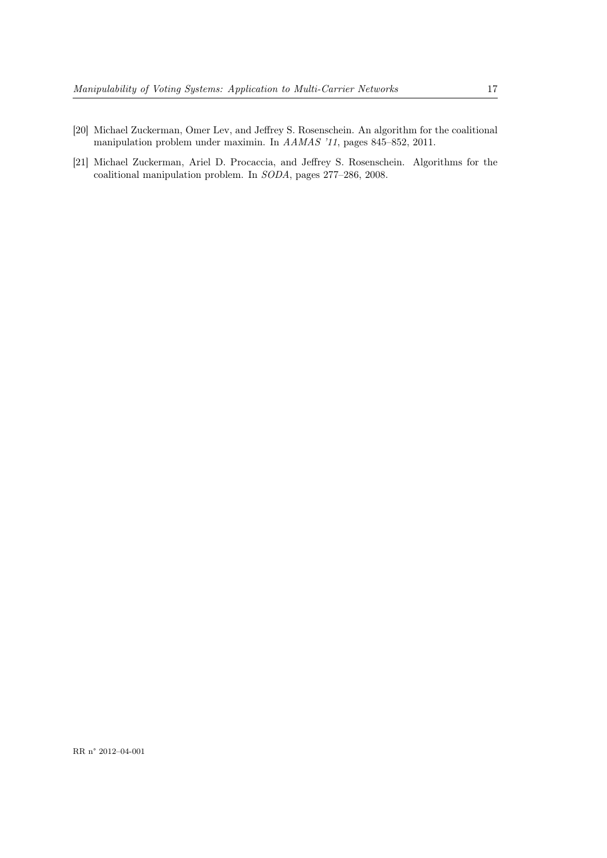- [20] Michael Zuckerman, Omer Lev, and Jeffrey S. Rosenschein. An algorithm for the coalitional manipulation problem under maximin. In AAMAS '11, pages 845–852, 2011.
- [21] Michael Zuckerman, Ariel D. Procaccia, and Jeffrey S. Rosenschein. Algorithms for the coalitional manipulation problem. In SODA, pages 277–286, 2008.